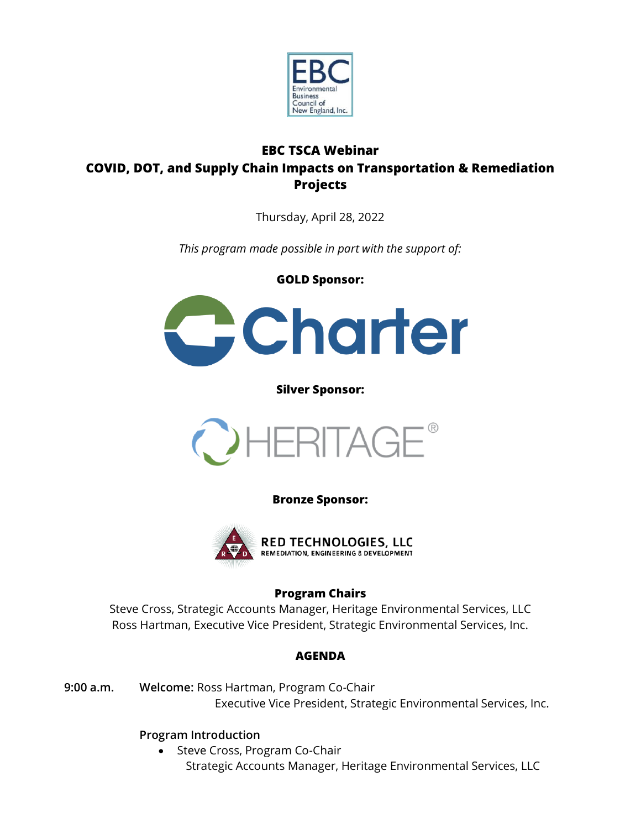

# **EBC TSCA Webinar COVID, DOT, and Supply Chain Impacts on Transportation & Remediation Projects**

Thursday, April 28, 2022

*This program made possible in part with the support of:* 

**GOLD Sponsor:**



**Silver Sponsor:**



**Bronze Sponsor:**



## **Program Chairs**

Steve Cross, Strategic Accounts Manager, Heritage Environmental Services, LLC Ross Hartman, Executive Vice President, Strategic Environmental Services, Inc.

## **AGENDA**

**9:00 a.m. Welcome:** Ross Hartman, Program Co-Chair Executive Vice President, Strategic Environmental Services, Inc.

# **Program Introduction**

• Steve Cross, Program Co-Chair Strategic Accounts Manager, Heritage Environmental Services, LLC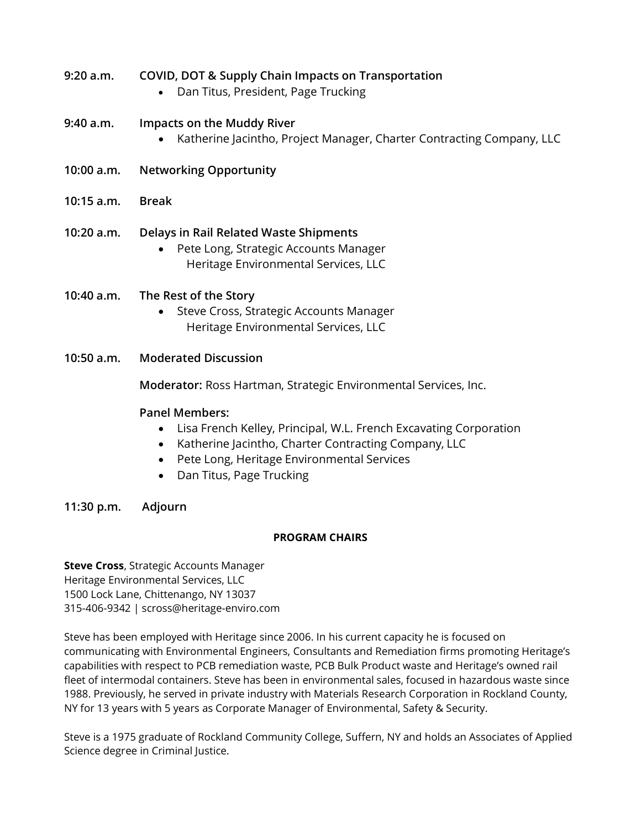- **9:20 a.m. COVID, DOT & Supply Chain Impacts on Transportation**
	- Dan Titus, President, Page Trucking

### **9:40 a.m. Impacts on the Muddy River**

- Katherine Jacintho, Project Manager, Charter Contracting Company, LLC
- **10:00 a.m. Networking Opportunity**
- **10:15 a.m. Break**

### **10:20 a.m. Delays in Rail Related Waste Shipments**

- Pete Long, Strategic Accounts Manager Heritage Environmental Services, LLC
- **10:40 a.m. The Rest of the Story**
	- Steve Cross, Strategic Accounts Manager Heritage Environmental Services, LLC
- **10:50 a.m. Moderated Discussion**

**Moderator:** Ross Hartman, Strategic Environmental Services, Inc.

#### **Panel Members:**

- Lisa French Kelley, Principal, W.L. French Excavating Corporation
- Katherine Jacintho, Charter Contracting Company, LLC
- Pete Long, Heritage Environmental Services
- Dan Titus, Page Trucking

#### **11:30 p.m. Adjourn**

#### **PROGRAM CHAIRS**

**Steve Cross**, Strategic Accounts Manager Heritage Environmental Services, LLC 1500 Lock Lane, Chittenango, NY 13037 315-406-9342 | scross@heritage-enviro.com

Steve has been employed with Heritage since 2006. In his current capacity he is focused on communicating with Environmental Engineers, Consultants and Remediation firms promoting Heritage's capabilities with respect to PCB remediation waste, PCB Bulk Product waste and Heritage's owned rail fleet of intermodal containers. Steve has been in environmental sales, focused in hazardous waste since 1988. Previously, he served in private industry with Materials Research Corporation in Rockland County, NY for 13 years with 5 years as Corporate Manager of Environmental, Safety & Security.

Steve is a 1975 graduate of Rockland Community College, Suffern, NY and holds an Associates of Applied Science degree in Criminal Justice.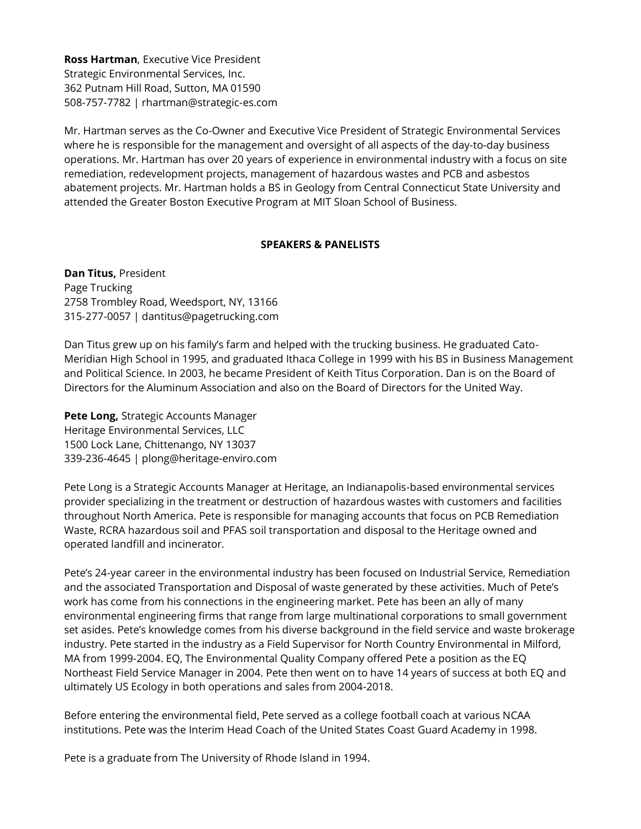**Ross Hartman**, Executive Vice President Strategic Environmental Services, Inc. 362 Putnam Hill Road, Sutton, MA 01590 508-757-7782 | rhartman@strategic-es.com

Mr. Hartman serves as the Co-Owner and Executive Vice President of Strategic Environmental Services where he is responsible for the management and oversight of all aspects of the day-to-day business operations. Mr. Hartman has over 20 years of experience in environmental industry with a focus on site remediation, redevelopment projects, management of hazardous wastes and PCB and asbestos abatement projects. Mr. Hartman holds a BS in Geology from Central Connecticut State University and attended the Greater Boston Executive Program at MIT Sloan School of Business.

#### **SPEAKERS & PANELISTS**

**Dan Titus,** President Page Trucking 2758 Trombley Road, Weedsport, NY, 13166 315-277-0057 | dantitus@pagetrucking.com

Dan Titus grew up on his family's farm and helped with the trucking business. He graduated Cato-Meridian High School in 1995, and graduated Ithaca College in 1999 with his BS in Business Management and Political Science. In 2003, he became President of Keith Titus Corporation. Dan is on the Board of Directors for the Aluminum Association and also on the Board of Directors for the United Way.

**Pete Long,** Strategic Accounts Manager Heritage Environmental Services, LLC 1500 Lock Lane, Chittenango, NY 13037 339-236-4645 | plong@heritage-enviro.com

Pete Long is a Strategic Accounts Manager at Heritage, an Indianapolis-based environmental services provider specializing in the treatment or destruction of hazardous wastes with customers and facilities throughout North America. Pete is responsible for managing accounts that focus on PCB Remediation Waste, RCRA hazardous soil and PFAS soil transportation and disposal to the Heritage owned and operated landfill and incinerator.

Pete's 24-year career in the environmental industry has been focused on Industrial Service, Remediation and the associated Transportation and Disposal of waste generated by these activities. Much of Pete's work has come from his connections in the engineering market. Pete has been an ally of many environmental engineering firms that range from large multinational corporations to small government set asides. Pete's knowledge comes from his diverse background in the field service and waste brokerage industry. Pete started in the industry as a Field Supervisor for North Country Environmental in Milford, MA from 1999-2004. EQ, The Environmental Quality Company offered Pete a position as the EQ Northeast Field Service Manager in 2004. Pete then went on to have 14 years of success at both EQ and ultimately US Ecology in both operations and sales from 2004-2018.

Before entering the environmental field, Pete served as a college football coach at various NCAA institutions. Pete was the Interim Head Coach of the United States Coast Guard Academy in 1998.

Pete is a graduate from The University of Rhode Island in 1994.